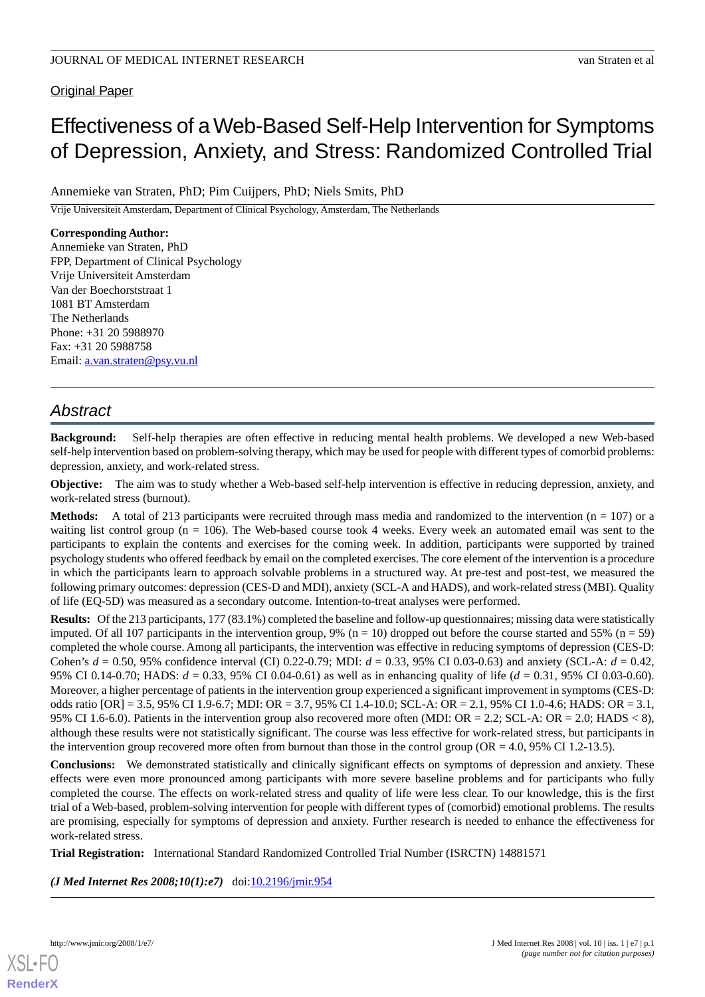## Original Paper

# Effectiveness of a Web-Based Self-Help Intervention for Symptoms of Depression, Anxiety, and Stress: Randomized Controlled Trial

Annemieke van Straten, PhD; Pim Cuijpers, PhD; Niels Smits, PhD

Vrije Universiteit Amsterdam, Department of Clinical Psychology, Amsterdam, The Netherlands

## **Corresponding Author:**

Annemieke van Straten, PhD FPP, Department of Clinical Psychology Vrije Universiteit Amsterdam Van der Boechorststraat 1 1081 BT Amsterdam The Netherlands Phone: +31 20 5988970 Fax: +31 20 5988758 Email: [a.van.straten@psy.vu.nl](mailto:a.van.straten@psy.vu.nl)

## *Abstract*

**Background:** Self-help therapies are often effective in reducing mental health problems. We developed a new Web-based self-help intervention based on problem-solving therapy, which may be used for people with different types of comorbid problems: depression, anxiety, and work-related stress.

**Objective:** The aim was to study whether a Web-based self-help intervention is effective in reducing depression, anxiety, and work-related stress (burnout).

**Methods:** A total of 213 participants were recruited through mass media and randomized to the intervention (n = 107) or a waiting list control group ( $n = 106$ ). The Web-based course took 4 weeks. Every week an automated email was sent to the participants to explain the contents and exercises for the coming week. In addition, participants were supported by trained psychology students who offered feedback by email on the completed exercises. The core element of the intervention is a procedure in which the participants learn to approach solvable problems in a structured way. At pre-test and post-test, we measured the following primary outcomes: depression (CES-D and MDI), anxiety (SCL-A and HADS), and work-related stress (MBI). Quality of life (EQ-5D) was measured as a secondary outcome. Intention-to-treat analyses were performed.

**Results:** Of the 213 participants, 177 (83.1%) completed the baseline and follow-up questionnaires; missing data were statistically imputed. Of all 107 participants in the intervention group, 9% ( $n = 10$ ) dropped out before the course started and 55% ( $n = 59$ ) completed the whole course. Among all participants, the intervention was effective in reducing symptoms of depression (CES-D: Cohen's *d* = 0.50, 95% confidence interval (CI) 0.22-0.79; MDI: *d* = 0.33, 95% CI 0.03-0.63) and anxiety (SCL-A: *d* = 0.42, 95% CI 0.14-0.70; HADS: *d* = 0.33, 95% CI 0.04-0.61) as well as in enhancing quality of life (*d* = 0.31, 95% CI 0.03-0.60). Moreover, a higher percentage of patients in the intervention group experienced a significant improvement in symptoms (CES-D: odds ratio [OR] = 3.5, 95% CI 1.9-6.7; MDI: OR = 3.7, 95% CI 1.4-10.0; SCL-A: OR = 2.1, 95% CI 1.0-4.6; HADS: OR = 3.1, 95% CI 1.6-6.0). Patients in the intervention group also recovered more often (MDI: OR = 2.2; SCL-A: OR = 2.0; HADS < 8), although these results were not statistically significant. The course was less effective for work-related stress, but participants in the intervention group recovered more often from burnout than those in the control group ( $OR = 4.0$ , 95% CI 1.2-13.5).

**Conclusions:** We demonstrated statistically and clinically significant effects on symptoms of depression and anxiety. These effects were even more pronounced among participants with more severe baseline problems and for participants who fully completed the course. The effects on work-related stress and quality of life were less clear. To our knowledge, this is the first trial of a Web-based, problem-solving intervention for people with different types of (comorbid) emotional problems. The results are promising, especially for symptoms of depression and anxiety. Further research is needed to enhance the effectiveness for work-related stress.

**Trial Registration:** International Standard Randomized Controlled Trial Number (ISRCTN) 14881571

*(J Med Internet Res 2008;10(1):e7)* doi: $10.2196/$ jmir.954

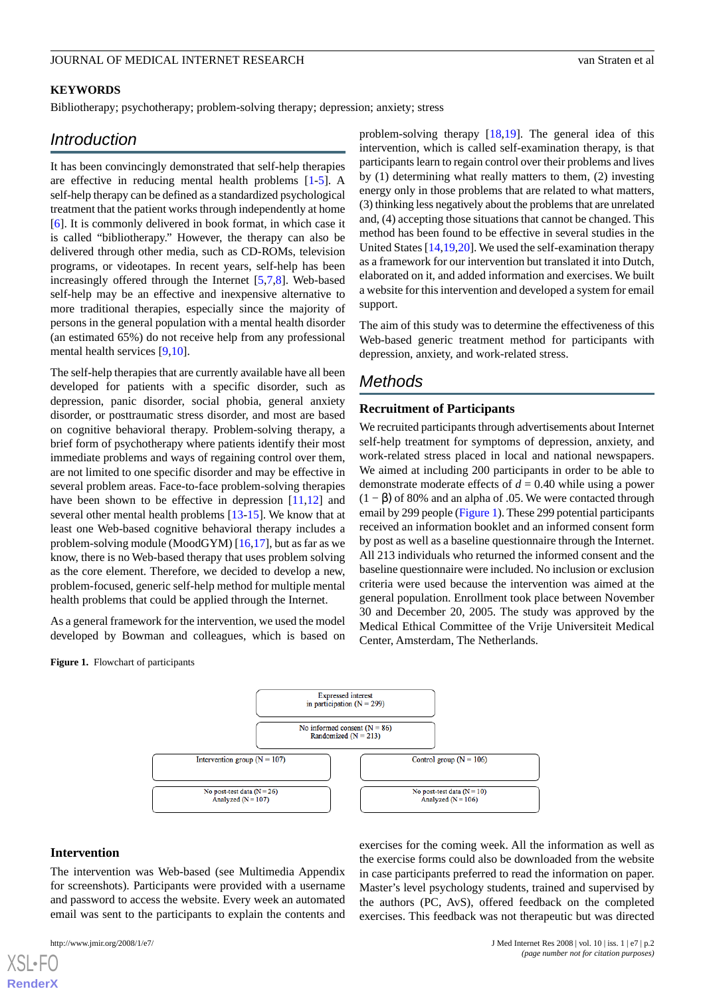## **KEYWORDS**

Bibliotherapy; psychotherapy; problem-solving therapy; depression; anxiety; stress

## *Introduction*

It has been convincingly demonstrated that self-help therapies are effective in reducing mental health problems [[1-](#page-7-0)[5\]](#page-7-1). A self-help therapy can be defined as a standardized psychological treatment that the patient works through independently at home [[6\]](#page-7-2). It is commonly delivered in book format, in which case it is called "bibliotherapy." However, the therapy can also be delivered through other media, such as CD-ROMs, television programs, or videotapes. In recent years, self-help has been increasingly offered through the Internet [[5](#page-7-1)[,7](#page-7-3),[8\]](#page-7-4). Web-based self-help may be an effective and inexpensive alternative to more traditional therapies, especially since the majority of persons in the general population with a mental health disorder (an estimated 65%) do not receive help from any professional mental health services [\[9](#page-7-5),[10\]](#page-8-0).

The self-help therapies that are currently available have all been developed for patients with a specific disorder, such as depression, panic disorder, social phobia, general anxiety disorder, or posttraumatic stress disorder, and most are based on cognitive behavioral therapy. Problem-solving therapy, a brief form of psychotherapy where patients identify their most immediate problems and ways of regaining control over them, are not limited to one specific disorder and may be effective in several problem areas. Face-to-face problem-solving therapies have been shown to be effective in depression [[11](#page-8-1)[,12](#page-8-2)] and several other mental health problems [[13-](#page-8-3)[15\]](#page-8-4). We know that at least one Web-based cognitive behavioral therapy includes a problem-solving module (MoodGYM) [[16,](#page-8-5)[17](#page-8-6)], but as far as we know, there is no Web-based therapy that uses problem solving as the core element. Therefore, we decided to develop a new, problem-focused, generic self-help method for multiple mental health problems that could be applied through the Internet.

As a general framework for the intervention, we used the model developed by Bowman and colleagues, which is based on

**Figure 1.** Flowchart of participants

problem-solving therapy [[18,](#page-8-7)[19](#page-8-8)]. The general idea of this intervention, which is called self-examination therapy, is that participants learn to regain control over their problems and lives by (1) determining what really matters to them, (2) investing energy only in those problems that are related to what matters, (3) thinking less negatively about the problems that are unrelated and, (4) accepting those situations that cannot be changed. This method has been found to be effective in several studies in the United States [[14](#page-8-9)[,19](#page-8-8),[20\]](#page-8-10). We used the self-examination therapy as a framework for our intervention but translated it into Dutch, elaborated on it, and added information and exercises. We built a website for this intervention and developed a system for email support.

The aim of this study was to determine the effectiveness of this Web-based generic treatment method for participants with depression, anxiety, and work-related stress.

## *Methods*

### **Recruitment of Participants**

We recruited participants through advertisements about Internet self-help treatment for symptoms of depression, anxiety, and work-related stress placed in local and national newspapers. We aimed at including 200 participants in order to be able to demonstrate moderate effects of *d* = 0.40 while using a power  $(1 - \beta)$  of 80% and an alpha of .05. We were contacted through email by 299 people (Figure 1). These 299 potential participants received an information booklet and an informed consent form by post as well as a baseline questionnaire through the Internet. All 213 individuals who returned the informed consent and the baseline questionnaire were included. No inclusion or exclusion criteria were used because the intervention was aimed at the general population. Enrollment took place between November 30 and December 20, 2005. The study was approved by the Medical Ethical Committee of the Vrije Universiteit Medical Center, Amsterdam, The Netherlands.

exercises for the coming week. All the information as well as the exercise forms could also be downloaded from the website in case participants preferred to read the information on paper. Master's level psychology students, trained and supervised by the authors (PC, AvS), offered feedback on the completed exercises. This feedback was not therapeutic but was directed



#### **Intervention**

[XSL](http://www.w3.org/Style/XSL)•FO **[RenderX](http://www.renderx.com/)**

The intervention was Web-based (see Multimedia Appendix for screenshots). Participants were provided with a username and password to access the website. Every week an automated email was sent to the participants to explain the contents and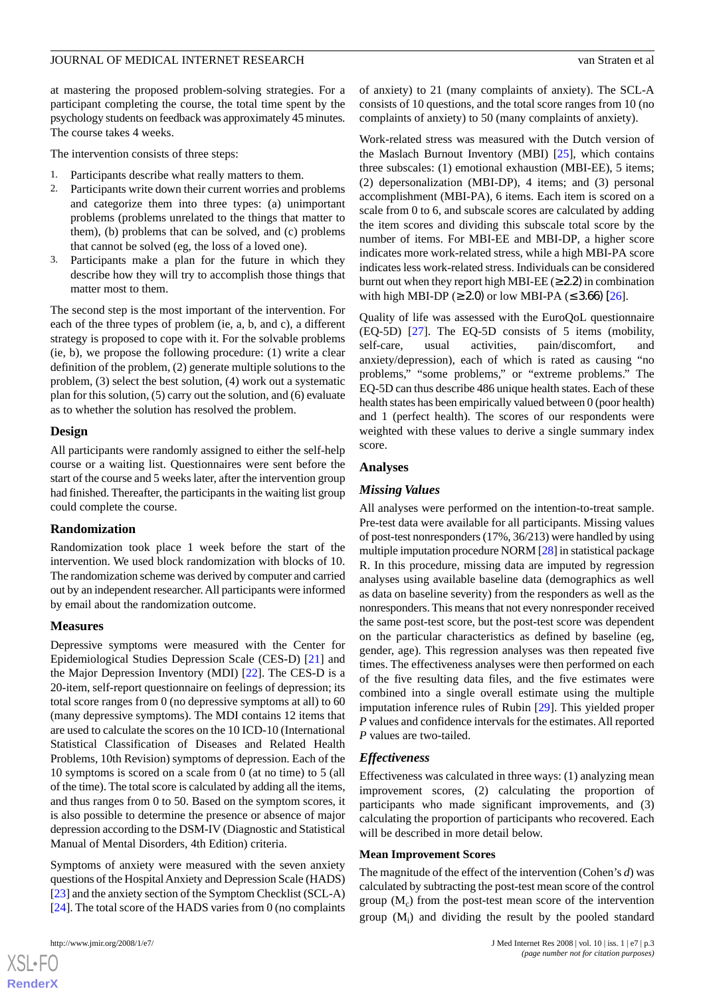at mastering the proposed problem-solving strategies. For a participant completing the course, the total time spent by the psychology students on feedback was approximately 45 minutes. The course takes 4 weeks.

The intervention consists of three steps:

- 1. Participants describe what really matters to them.
- 2. Participants write down their current worries and problems and categorize them into three types: (a) unimportant problems (problems unrelated to the things that matter to them), (b) problems that can be solved, and (c) problems that cannot be solved (eg, the loss of a loved one).
- 3. Participants make a plan for the future in which they describe how they will try to accomplish those things that matter most to them.

The second step is the most important of the intervention. For each of the three types of problem (ie, a, b, and c), a different strategy is proposed to cope with it. For the solvable problems (ie, b), we propose the following procedure: (1) write a clear definition of the problem, (2) generate multiple solutions to the problem, (3) select the best solution, (4) work out a systematic plan for this solution, (5) carry out the solution, and (6) evaluate as to whether the solution has resolved the problem.

#### **Design**

All participants were randomly assigned to either the self-help course or a waiting list. Questionnaires were sent before the start of the course and 5 weeks later, after the intervention group had finished. Thereafter, the participants in the waiting list group could complete the course.

#### **Randomization**

Randomization took place 1 week before the start of the intervention. We used block randomization with blocks of 10. The randomization scheme was derived by computer and carried out by an independent researcher. All participants were informed by email about the randomization outcome.

#### **Measures**

Depressive symptoms were measured with the Center for Epidemiological Studies Depression Scale (CES-D) [\[21](#page-8-11)] and the Major Depression Inventory (MDI) [[22\]](#page-8-12). The CES-D is a 20-item, self-report questionnaire on feelings of depression; its total score ranges from 0 (no depressive symptoms at all) to 60 (many depressive symptoms). The MDI contains 12 items that are used to calculate the scores on the 10 ICD-10 (International Statistical Classification of Diseases and Related Health Problems, 10th Revision) symptoms of depression. Each of the 10 symptoms is scored on a scale from 0 (at no time) to 5 (all of the time). The total score is calculated by adding all the items, and thus ranges from 0 to 50. Based on the symptom scores, it is also possible to determine the presence or absence of major depression according to the DSM-IV (Diagnostic and Statistical Manual of Mental Disorders, 4th Edition) criteria.

Symptoms of anxiety were measured with the seven anxiety questions of the Hospital Anxiety and Depression Scale (HADS) [[23\]](#page-8-13) and the anxiety section of the Symptom Checklist (SCL-A) [[24\]](#page-8-14). The total score of the HADS varies from 0 (no complaints

 $XS$  $\cdot$ FC **[RenderX](http://www.renderx.com/)** of anxiety) to 21 (many complaints of anxiety). The SCL-A consists of 10 questions, and the total score ranges from 10 (no complaints of anxiety) to 50 (many complaints of anxiety).

Work-related stress was measured with the Dutch version of the Maslach Burnout Inventory (MBI) [[25\]](#page-8-15), which contains three subscales: (1) emotional exhaustion (MBI-EE), 5 items; (2) depersonalization (MBI-DP), 4 items; and (3) personal accomplishment (MBI-PA), 6 items. Each item is scored on a scale from 0 to 6, and subscale scores are calculated by adding the item scores and dividing this subscale total score by the number of items. For MBI-EE and MBI-DP, a higher score indicates more work-related stress, while a high MBI-PA score indicates less work-related stress. Individuals can be considered burnt out when they report high MBI-EE ( $\geq$  2.2) in combination with high MBI-DP ( $\geq$  2.0) or low MBI-PA ( $\leq$  3.66) [[26](#page-8-16)].

Quality of life was assessed with the EuroQoL questionnaire (EQ-5D) [\[27](#page-8-17)]. The EQ-5D consists of 5 items (mobility, self-care, usual activities, pain/discomfort, and anxiety/depression), each of which is rated as causing "no problems," "some problems," or "extreme problems." The EQ-5D can thus describe 486 unique health states. Each of these health states has been empirically valued between 0 (poor health) and 1 (perfect health). The scores of our respondents were weighted with these values to derive a single summary index score.

#### **Analyses**

## *Missing Values*

All analyses were performed on the intention-to-treat sample. Pre-test data were available for all participants. Missing values of post-test nonresponders (17%, 36/213) were handled by using multiple imputation procedure NORM [[28\]](#page-8-18) in statistical package R. In this procedure, missing data are imputed by regression analyses using available baseline data (demographics as well as data on baseline severity) from the responders as well as the nonresponders. This means that not every nonresponder received the same post-test score, but the post-test score was dependent on the particular characteristics as defined by baseline (eg, gender, age). This regression analyses was then repeated five times. The effectiveness analyses were then performed on each of the five resulting data files, and the five estimates were combined into a single overall estimate using the multiple imputation inference rules of Rubin [[29\]](#page-8-19). This yielded proper *P* values and confidence intervals for the estimates. All reported *P* values are two-tailed.

## *Effectiveness*

Effectiveness was calculated in three ways: (1) analyzing mean improvement scores, (2) calculating the proportion of participants who made significant improvements, and (3) calculating the proportion of participants who recovered. Each will be described in more detail below.

#### **Mean Improvement Scores**

The magnitude of the effect of the intervention (Cohen's *d*) was calculated by subtracting the post-test mean score of the control group  $(M_c)$  from the post-test mean score of the intervention group (M<sub>i</sub>) and dividing the result by the pooled standard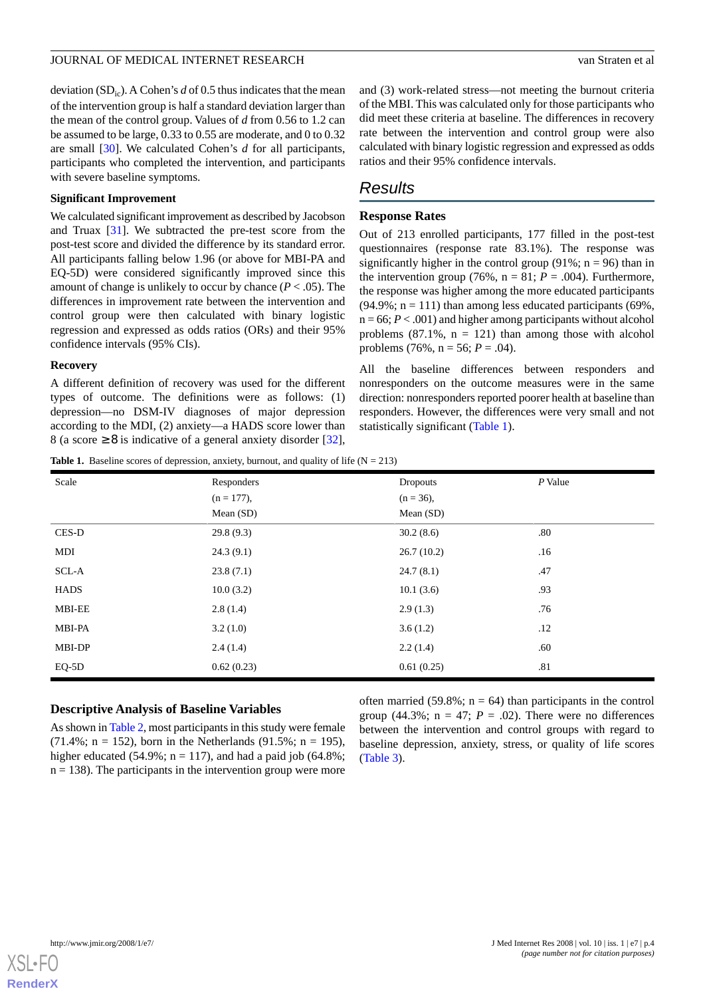deviation  $(SD<sub>ic</sub>)$ . A Cohen's *d* of 0.5 thus indicates that the mean of the intervention group is half a standard deviation larger than the mean of the control group. Values of *d* from 0.56 to 1.2 can be assumed to be large, 0.33 to 0.55 are moderate, and 0 to 0.32 are small [\[30](#page-8-20)]. We calculated Cohen's *d* for all participants, participants who completed the intervention, and participants with severe baseline symptoms.

#### **Significant Improvement**

We calculated significant improvement as described by Jacobson and Truax [\[31](#page-8-21)]. We subtracted the pre-test score from the post-test score and divided the difference by its standard error. All participants falling below 1.96 (or above for MBI-PA and EQ-5D) were considered significantly improved since this amount of change is unlikely to occur by chance  $(P < .05)$ . The differences in improvement rate between the intervention and control group were then calculated with binary logistic regression and expressed as odds ratios (ORs) and their 95% confidence intervals (95% CIs).

#### **Recovery**

A different definition of recovery was used for the different types of outcome. The definitions were as follows: (1) depression—no DSM-IV diagnoses of major depression according to the MDI, (2) anxiety—a HADS score lower than 8 (a score  $\geq$  8 is indicative of a general anxiety disorder [[32\]](#page-8-22),

and (3) work-related stress—not meeting the burnout criteria of the MBI. This was calculated only for those participants who did meet these criteria at baseline. The differences in recovery rate between the intervention and control group were also calculated with binary logistic regression and expressed as odds ratios and their 95% confidence intervals.

## *Results*

## **Response Rates**

Out of 213 enrolled participants, 177 filled in the post-test questionnaires (response rate 83.1%). The response was significantly higher in the control group (91%;  $n = 96$ ) than in the intervention group (76%,  $n = 81$ ;  $P = .004$ ). Furthermore, the response was higher among the more educated participants  $(94.9\%; n = 111)$  than among less educated participants  $(69\%;$  $n = 66$ ;  $P < .001$ ) and higher among participants without alcohol problems  $(87.1\% , n = 121)$  than among those with alcohol problems  $(76\%, n = 56; P = .04)$ .

All the baseline differences between responders and nonresponders on the outcome measures were in the same direction: nonresponders reported poorer health at baseline than responders. However, the differences were very small and not statistically significant (Table 1).

**Table 1.** Baseline scores of depression, anxiety, burnout, and quality of life  $(N = 213)$ 

| Scale         | Responders<br>$(n = 177)$ ,<br>Mean $(SD)$ | <b>Dropouts</b><br>$(n = 36)$ ,<br>Mean $(SD)$ | $P$ Value |
|---------------|--------------------------------------------|------------------------------------------------|-----------|
| CES-D         | 29.8(9.3)                                  | 30.2(8.6)                                      | .80       |
| MDI           | 24.3(9.1)                                  | 26.7(10.2)                                     | .16       |
| SCL-A         | 23.8(7.1)                                  | 24.7(8.1)                                      | .47       |
| <b>HADS</b>   | 10.0(3.2)                                  | 10.1(3.6)                                      | .93       |
| <b>MBI-EE</b> | 2.8(1.4)                                   | 2.9(1.3)                                       | .76       |
| MBI-PA        | 3.2(1.0)                                   | 3.6(1.2)                                       | .12       |
| MBI-DP        | 2.4(1.4)                                   | 2.2(1.4)                                       | .60       |
| $EQ-5D$       | 0.62(0.23)                                 | 0.61(0.25)                                     | .81       |

## **Descriptive Analysis of Baseline Variables**

As shown in Table 2, most participants in this study were female (71.4%;  $n = 152$ ), born in the Netherlands (91.5%;  $n = 195$ ), higher educated (54.9%;  $n = 117$ ), and had a paid job (64.8%;  $n = 138$ ). The participants in the intervention group were more

often married (59.8%;  $n = 64$ ) than participants in the control group (44.3%;  $n = 47$ ;  $P = .02$ ). There were no differences between the intervention and control groups with regard to baseline depression, anxiety, stress, or quality of life scores (Table 3).

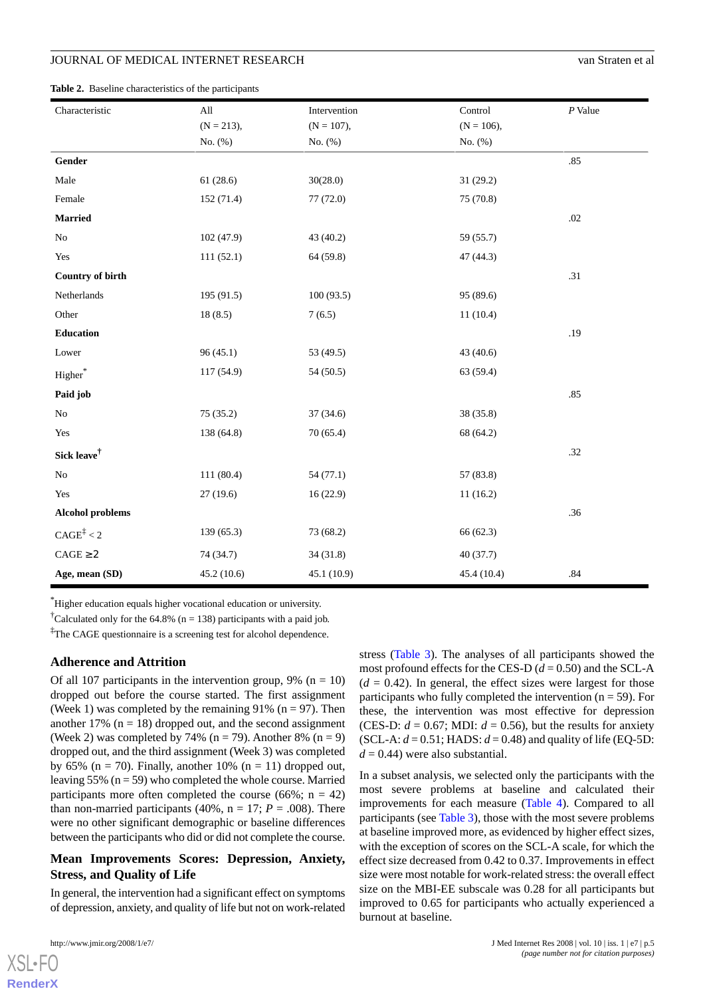**Table 2.** Baseline characteristics of the participants

| Characteristic          | All          | Intervention | Control      | $P$ Value |
|-------------------------|--------------|--------------|--------------|-----------|
|                         | $(N = 213),$ | $(N = 107),$ | $(N = 106),$ |           |
|                         | No. (%)      | No. (%)      | No. (%)      |           |
| Gender                  |              |              |              | .85       |
| Male                    | 61(28.6)     | 30(28.0)     | 31 (29.2)    |           |
| Female                  | 152(71.4)    | 77 (72.0)    | 75 (70.8)    |           |
| <b>Married</b>          |              |              |              | .02       |
| $\rm No$                | 102 (47.9)   | 43 (40.2)    | 59 (55.7)    |           |
| Yes                     | 111(52.1)    | 64 (59.8)    | 47 (44.3)    |           |
| <b>Country of birth</b> |              |              |              | .31       |
| Netherlands             | 195(91.5)    | 100(93.5)    | 95 (89.6)    |           |
| Other                   | 18(8.5)      | 7(6.5)       | 11(10.4)     |           |
| <b>Education</b>        |              |              |              | .19       |
| Lower                   | 96(45.1)     | 53 (49.5)    | 43 (40.6)    |           |
| ${\bf Higher}^*$        | 117 (54.9)   | 54(50.5)     | 63 (59.4)    |           |
| Paid job                |              |              |              | .85       |
| $\rm No$                | 75(35.2)     | 37(34.6)     | 38 (35.8)    |           |
| Yes                     | 138 (64.8)   | 70(65.4)     | 68 (64.2)    |           |
| Sick leave $^{\dagger}$ |              |              |              | .32       |
| $\rm No$                | 111(80.4)    | 54(77.1)     | 57 (83.8)    |           |
| Yes                     | 27(19.6)     | 16(22.9)     | 11(16.2)     |           |
| <b>Alcohol problems</b> |              |              |              | .36       |
| $CAGE^{\ddagger} < 2$   | 139(65.3)    | 73 (68.2)    | 66 (62.3)    |           |
| $CAGE \geq 2$           | 74 (34.7)    | 34(31.8)     | 40(37.7)     |           |
| Age, mean (SD)          | 45.2(10.6)   | 45.1 (10.9)  | 45.4 (10.4)  | .84       |

\*Higher education equals higher vocational education or university.

<sup>†</sup>Calculated only for the 64.8% (n = 138) participants with a paid job.

<sup>‡</sup>The CAGE questionnaire is a screening test for alcohol dependence.

#### **Adherence and Attrition**

Of all 107 participants in the intervention group, 9% ( $n = 10$ ) dropped out before the course started. The first assignment (Week 1) was completed by the remaining  $91\%$  (n = 97). Then another 17% ( $n = 18$ ) dropped out, and the second assignment (Week 2) was completed by 74% ( $n = 79$ ). Another 8% ( $n = 9$ ) dropped out, and the third assignment (Week 3) was completed by 65% ( $n = 70$ ). Finally, another 10% ( $n = 11$ ) dropped out, leaving 55% ( $n = 59$ ) who completed the whole course. Married participants more often completed the course (66%;  $n = 42$ ) than non-married participants (40%,  $n = 17$ ;  $P = .008$ ). There were no other significant demographic or baseline differences between the participants who did or did not complete the course.

## **Mean Improvements Scores: Depression, Anxiety, Stress, and Quality of Life**

In general, the intervention had a significant effect on symptoms of depression, anxiety, and quality of life but not on work-related

[XSL](http://www.w3.org/Style/XSL)•FO **[RenderX](http://www.renderx.com/)**

stress (Table 3). The analyses of all participants showed the most profound effects for the CES-D  $(d = 0.50)$  and the SCL-A  $(d = 0.42)$ . In general, the effect sizes were largest for those participants who fully completed the intervention ( $n = 59$ ). For these, the intervention was most effective for depression (CES-D:  $d = 0.67$ ; MDI:  $d = 0.56$ ), but the results for anxiety (SCL-A:  $d = 0.51$ ; HADS:  $d = 0.48$ ) and quality of life (EQ-5D:  $d = 0.44$ ) were also substantial.

In a subset analysis, we selected only the participants with the most severe problems at baseline and calculated their improvements for each measure (Table 4). Compared to all participants (see Table 3), those with the most severe problems at baseline improved more, as evidenced by higher effect sizes, with the exception of scores on the SCL-A scale, for which the effect size decreased from 0.42 to 0.37. Improvements in effect size were most notable for work-related stress: the overall effect size on the MBI-EE subscale was 0.28 for all participants but improved to 0.65 for participants who actually experienced a burnout at baseline.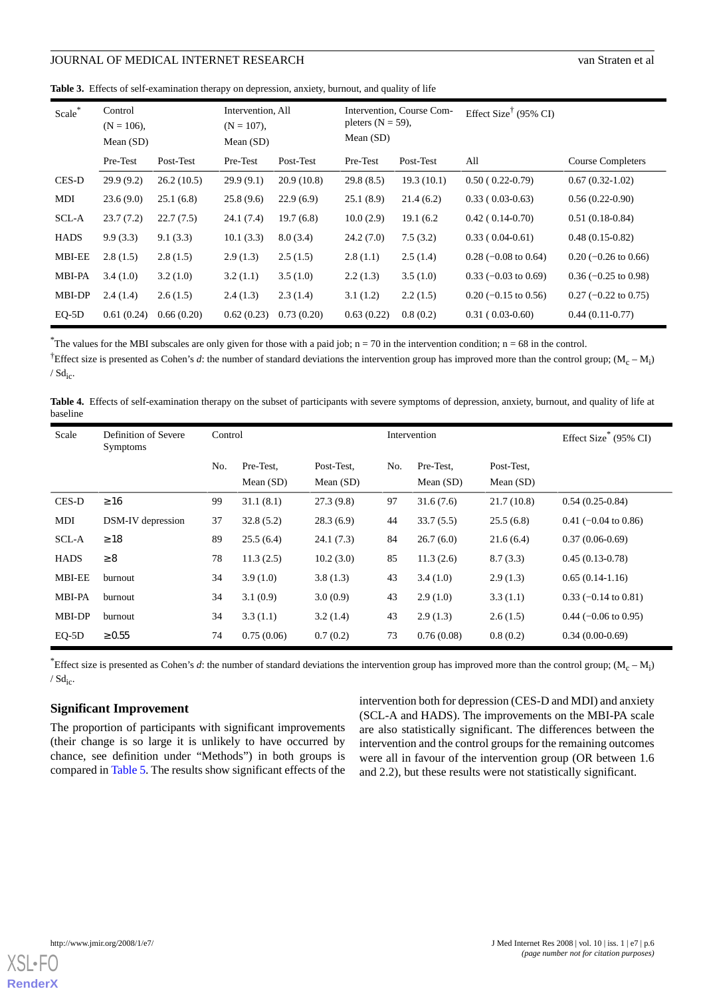**Table 3.** Effects of self-examination therapy on depression, anxiety, burnout, and quality of life

| Scale*        | Control<br>$(N = 106)$ ,<br>Mean $(SD)$ |            | Intervention, All<br>$(N = 107)$ ,<br>Mean $(SD)$ |            | Intervention, Course Com-<br>pleters $(N = 59)$ ,<br>Mean $(SD)$ |            | Effect Size <sup>†</sup> (95% CI) |                          |
|---------------|-----------------------------------------|------------|---------------------------------------------------|------------|------------------------------------------------------------------|------------|-----------------------------------|--------------------------|
|               | Pre-Test                                | Post-Test  | Pre-Test                                          | Post-Test  | Pre-Test                                                         | Post-Test  | All                               | <b>Course Completers</b> |
| CES-D         | 29.9(9.2)                               | 26.2(10.5) | 29.9(9.1)                                         | 20.9(10.8) | 29.8(8.5)                                                        | 19.3(10.1) | $0.50(0.22-0.79)$                 | $0.67(0.32-1.02)$        |
| MDI           | 23.6(9.0)                               | 25.1(6.8)  | 25.8(9.6)                                         | 22.9(6.9)  | 25.1(8.9)                                                        | 21.4(6.2)  | $0.33(0.03-0.63)$                 | $0.56(0.22-0.90)$        |
| SCL-A         | 23.7(7.2)                               | 22.7(7.5)  | 24.1(7.4)                                         | 19.7(6.8)  | 10.0(2.9)                                                        | 19.1 (6.2) | $0.42(0.14-0.70)$                 | $0.51(0.18-0.84)$        |
| <b>HADS</b>   | 9.9(3.3)                                | 9.1(3.3)   | 10.1(3.3)                                         | 8.0(3.4)   | 24.2(7.0)                                                        | 7.5(3.2)   | $0.33(0.04-0.61)$                 | $0.48(0.15-0.82)$        |
| <b>MBI-EE</b> | 2.8(1.5)                                | 2.8(1.5)   | 2.9(1.3)                                          | 2.5(1.5)   | 2.8(1.1)                                                         | 2.5(1.4)   | $0.28$ (-0.08 to 0.64)            | $0.20$ (-0.26 to 0.66)   |
| <b>MBI-PA</b> | 3.4(1.0)                                | 3.2(1.0)   | 3.2(1.1)                                          | 3.5(1.0)   | 2.2(1.3)                                                         | 3.5(1.0)   | $0.33$ (-0.03 to 0.69)            | $0.36$ (-0.25 to 0.98)   |
| MBI-DP        | 2.4(1.4)                                | 2.6(1.5)   | 2.4(1.3)                                          | 2.3(1.4)   | 3.1(1.2)                                                         | 2.2(1.5)   | $0.20$ (-0.15 to 0.56)            | $0.27$ (-0.22 to 0.75)   |
| $EQ-5D$       | 0.61(0.24)                              | 0.66(0.20) | 0.62(0.23)                                        | 0.73(0.20) | 0.63(0.22)                                                       | 0.8(0.2)   | $0.31(0.03-0.60)$                 | $0.44(0.11-0.77)$        |

<sup>\*</sup>The values for the MBI subscales are only given for those with a paid job;  $n = 70$  in the intervention condition;  $n = 68$  in the control.

<sup>†</sup>Effect size is presented as Cohen's *d*: the number of standard deviations the intervention group has improved more than the control group;  $(M_c - M_i)$  $/$  Sd<sub>ic</sub>.

**Table 4.** Effects of self-examination therapy on the subset of participants with severe symptoms of depression, anxiety, burnout, and quality of life at baseline

| Scale         | Definition of Severe<br><b>Symptoms</b> | Control |                          |                           | Intervention |                          |                           | Effect Size <sup>*</sup> (95% CI) |
|---------------|-----------------------------------------|---------|--------------------------|---------------------------|--------------|--------------------------|---------------------------|-----------------------------------|
|               |                                         | No.     | Pre-Test,<br>Mean $(SD)$ | Post-Test,<br>Mean $(SD)$ | No.          | Pre-Test.<br>Mean $(SD)$ | Post-Test,<br>Mean $(SD)$ |                                   |
| CES-D         | $\geq 16$                               | 99      | 31.1(8.1)                | 27.3(9.8)                 | 97           | 31.6(7.6)                | 21.7(10.8)                | $0.54(0.25-0.84)$                 |
| MDI           | DSM-IV depression                       | 37      | 32.8(5.2)                | 28.3(6.9)                 | 44           | 33.7(5.5)                | 25.5(6.8)                 | $0.41$ (-0.04 to 0.86)            |
| SCL-A         | $\geq 18$                               | 89      | 25.5(6.4)                | 24.1(7.3)                 | 84           | 26.7(6.0)                | 21.6(6.4)                 | $0.37(0.06-0.69)$                 |
| <b>HADS</b>   | $\geq 8$                                | 78      | 11.3(2.5)                | 10.2(3.0)                 | 85           | 11.3(2.6)                | 8.7(3.3)                  | $0.45(0.13-0.78)$                 |
| <b>MBI-EE</b> | burnout                                 | 34      | 3.9(1.0)                 | 3.8(1.3)                  | 43           | 3.4(1.0)                 | 2.9(1.3)                  | $0.65(0.14-1.16)$                 |
| <b>MBI-PA</b> | burnout                                 | 34      | 3.1(0.9)                 | 3.0(0.9)                  | 43           | 2.9(1.0)                 | 3.3(1.1)                  | $0.33$ (-0.14 to 0.81)            |
| MBI-DP        | burnout                                 | 34      | 3.3(1.1)                 | 3.2(1.4)                  | 43           | 2.9(1.3)                 | 2.6(1.5)                  | $0.44$ (-0.06 to 0.95)            |
| $EQ-5D$       | $\geq 0.55$                             | 74      | 0.75(0.06)               | 0.7(0.2)                  | 73           | 0.76(0.08)               | 0.8(0.2)                  | $0.34(0.00-0.69)$                 |

<sup>\*</sup>Effect size is presented as Cohen's *d*: the number of standard deviations the intervention group has improved more than the control group;  $(M_c - M_i)$  $/$  Sd<sub>ic</sub>.

## **Significant Improvement**

The proportion of participants with significant improvements (their change is so large it is unlikely to have occurred by chance, see definition under "Methods") in both groups is compared in Table 5. The results show significant effects of the

intervention both for depression (CES-D and MDI) and anxiety (SCL-A and HADS). The improvements on the MBI-PA scale are also statistically significant. The differences between the intervention and the control groups for the remaining outcomes were all in favour of the intervention group (OR between 1.6 and 2.2), but these results were not statistically significant.

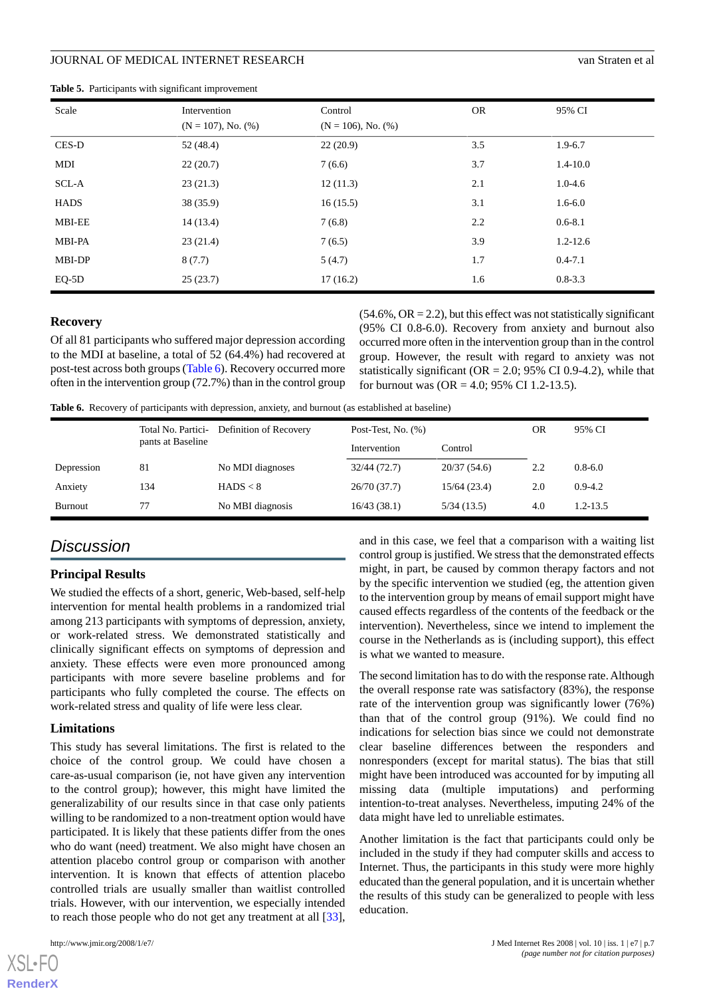|  |  |  | <b>Table 5.</b> Participants with significant improvement |
|--|--|--|-----------------------------------------------------------|
|--|--|--|-----------------------------------------------------------|

| Scale         | Intervention             | Control                  | <b>OR</b> | 95% CI       |
|---------------|--------------------------|--------------------------|-----------|--------------|
|               | $(N = 107)$ , No. $(\%)$ | $(N = 106)$ , No. $(\%)$ |           |              |
| CES-D         | 52(48.4)                 | 22(20.9)                 | 3.5       | $1.9 - 6.7$  |
| MDI           | 22(20.7)                 | 7(6.6)                   | 3.7       | $1.4 - 10.0$ |
| SCL-A         | 23(21.3)                 | 12(11.3)                 | 2.1       | $1.0 - 4.6$  |
| <b>HADS</b>   | 38(35.9)                 | 16(15.5)                 | 3.1       | $1.6 - 6.0$  |
| <b>MBI-EE</b> | 14(13.4)                 | 7(6.8)                   | 2.2       | $0.6 - 8.1$  |
| MBI-PA        | 23(21.4)                 | 7(6.5)                   | 3.9       | $1.2 - 12.6$ |
| MBI-DP        | 8(7.7)                   | 5(4.7)                   | 1.7       | $0.4 - 7.1$  |
| $EQ-5D$       | 25(23.7)                 | 17(16.2)                 | 1.6       | $0.8 - 3.3$  |

#### **Recovery**

Of all 81 participants who suffered major depression according to the MDI at baseline, a total of 52 (64.4%) had recovered at post-test across both groups (Table 6). Recovery occurred more often in the intervention group (72.7%) than in the control group  $(54.6\%, \text{OR} = 2.2)$ , but this effect was not statistically significant (95% CI 0.8-6.0). Recovery from anxiety and burnout also occurred more often in the intervention group than in the control group. However, the result with regard to anxiety was not statistically significant ( $OR = 2.0$ ; 95% CI 0.9-4.2), while that for burnout was  $(OR = 4.0; 95\% \text{ CI } 1.2-13.5)$ .

**Table 6.** Recovery of participants with depression, anxiety, and burnout (as established at baseline)

|            | Total No. Partici- | Definition of Recovery | Post-Test, No. $(\%)$ | OR          | 95% CI |             |
|------------|--------------------|------------------------|-----------------------|-------------|--------|-------------|
|            | pants at Baseline  |                        | Intervention          | Control     |        |             |
| Depression | 81                 | No MDI diagnoses       | 32/44 (72.7)          | 20/37(54.6) | 2.2    | $0.8 - 6.0$ |
| Anxiety    | 134                | HADS < 8               | 26/70(37.7)           | 15/64(23.4) | 2.0    | $0.9 - 4.2$ |
| Burnout    | 77                 | No MBI diagnosis       | 16/43(38.1)           | 5/34(13.5)  | 4.0    | 1.2-13.5    |

## *Discussion*

#### **Principal Results**

We studied the effects of a short, generic, Web-based, self-help intervention for mental health problems in a randomized trial among 213 participants with symptoms of depression, anxiety, or work-related stress. We demonstrated statistically and clinically significant effects on symptoms of depression and anxiety. These effects were even more pronounced among participants with more severe baseline problems and for participants who fully completed the course. The effects on work-related stress and quality of life were less clear.

#### **Limitations**

This study has several limitations. The first is related to the choice of the control group. We could have chosen a care-as-usual comparison (ie, not have given any intervention to the control group); however, this might have limited the generalizability of our results since in that case only patients willing to be randomized to a non-treatment option would have participated. It is likely that these patients differ from the ones who do want (need) treatment. We also might have chosen an attention placebo control group or comparison with another intervention. It is known that effects of attention placebo controlled trials are usually smaller than waitlist controlled trials. However, with our intervention, we especially intended to reach those people who do not get any treatment at all [[33\]](#page-8-23),

[XSL](http://www.w3.org/Style/XSL)•FO **[RenderX](http://www.renderx.com/)**

and in this case, we feel that a comparison with a waiting list control group is justified. We stress that the demonstrated effects might, in part, be caused by common therapy factors and not by the specific intervention we studied (eg, the attention given to the intervention group by means of email support might have caused effects regardless of the contents of the feedback or the intervention). Nevertheless, since we intend to implement the course in the Netherlands as is (including support), this effect is what we wanted to measure.

The second limitation has to do with the response rate. Although the overall response rate was satisfactory (83%), the response rate of the intervention group was significantly lower (76%) than that of the control group (91%). We could find no indications for selection bias since we could not demonstrate clear baseline differences between the responders and nonresponders (except for marital status). The bias that still might have been introduced was accounted for by imputing all missing data (multiple imputations) and performing intention-to-treat analyses. Nevertheless, imputing 24% of the data might have led to unreliable estimates.

Another limitation is the fact that participants could only be included in the study if they had computer skills and access to Internet. Thus, the participants in this study were more highly educated than the general population, and it is uncertain whether the results of this study can be generalized to people with less education.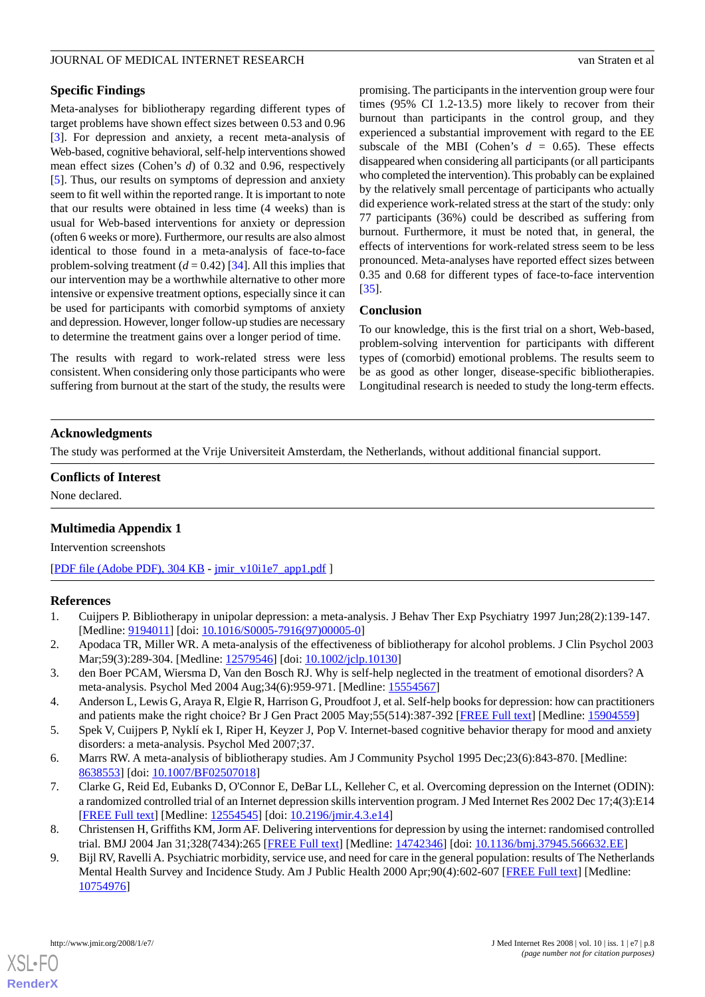## **Specific Findings**

Meta-analyses for bibliotherapy regarding different types of target problems have shown effect sizes between 0.53 and 0.96 [[3\]](#page-7-6). For depression and anxiety, a recent meta-analysis of Web-based, cognitive behavioral, self-help interventions showed mean effect sizes (Cohen's *d*) of 0.32 and 0.96, respectively [[5\]](#page-7-1). Thus, our results on symptoms of depression and anxiety seem to fit well within the reported range. It is important to note that our results were obtained in less time (4 weeks) than is usual for Web-based interventions for anxiety or depression (often 6 weeks or more). Furthermore, our results are also almost identical to those found in a meta-analysis of face-to-face problem-solving treatment  $(d = 0.42)$  [[34\]](#page-8-24). All this implies that our intervention may be a worthwhile alternative to other more intensive or expensive treatment options, especially since it can be used for participants with comorbid symptoms of anxiety and depression. However, longer follow-up studies are necessary to determine the treatment gains over a longer period of time.

The results with regard to work-related stress were less consistent. When considering only those participants who were suffering from burnout at the start of the study, the results were

promising. The participants in the intervention group were four times (95% CI 1.2-13.5) more likely to recover from their burnout than participants in the control group, and they experienced a substantial improvement with regard to the EE subscale of the MBI (Cohen's  $d = 0.65$ ). These effects disappeared when considering all participants (or all participants who completed the intervention). This probably can be explained by the relatively small percentage of participants who actually did experience work-related stress at the start of the study: only 77 participants (36%) could be described as suffering from burnout. Furthermore, it must be noted that, in general, the effects of interventions for work-related stress seem to be less pronounced. Meta-analyses have reported effect sizes between 0.35 and 0.68 for different types of face-to-face intervention [[35\]](#page-9-0).

## **Conclusion**

To our knowledge, this is the first trial on a short, Web-based, problem-solving intervention for participants with different types of (comorbid) emotional problems. The results seem to be as good as other longer, disease-specific bibliotherapies. Longitudinal research is needed to study the long-term effects.

## **Acknowledgments**

The study was performed at the Vrije Universiteit Amsterdam, the Netherlands, without additional financial support.

## **Conflicts of Interest**

None declared.

## **Multimedia Appendix 1**

<span id="page-7-0"></span>Intervention screenshots

[[PDF file \(Adobe PDF\), 304 KB](http://www.jmir.org/article/downloadSuppFile/954/491) - [jmir\\_v10i1e7\\_app1.pdf](http://www.jmir.org/article/downloadSuppFile/954/491) ]

## <span id="page-7-6"></span>**References**

- 1. Cuijpers P. Bibliotherapy in unipolar depression: a meta-analysis. J Behav Ther Exp Psychiatry 1997 Jun;28(2):139-147. [Medline: [9194011\]](http://www.ncbi.nlm.nih.gov/entrez/query.fcgi?cmd=Retrieve&db=PubMed&list_uids=9194011&dopt=Abstract) [doi: [10.1016/S0005-7916\(97\)00005-0\]](http://dx.doi.org/10.1016/S0005-7916(97)00005-0)
- <span id="page-7-1"></span>2. Apodaca TR, Miller WR. A meta-analysis of the effectiveness of bibliotherapy for alcohol problems. J Clin Psychol 2003 Mar;59(3):289-304. [Medline: [12579546\]](http://www.ncbi.nlm.nih.gov/entrez/query.fcgi?cmd=Retrieve&db=PubMed&list_uids=12579546&dopt=Abstract) [doi: [10.1002/jclp.10130\]](http://dx.doi.org/10.1002/jclp.10130)
- <span id="page-7-2"></span>3. den Boer PCAM, Wiersma D, Van den Bosch RJ. Why is self-help neglected in the treatment of emotional disorders? A meta-analysis. Psychol Med 2004 Aug;34(6):959-971. [Medline: [15554567](http://www.ncbi.nlm.nih.gov/entrez/query.fcgi?cmd=Retrieve&db=PubMed&list_uids=15554567&dopt=Abstract)]
- <span id="page-7-3"></span>4. Anderson L, Lewis G, Araya R, Elgie R, Harrison G, Proudfoot J, et al. Self-help books for depression: how can practitioners and patients make the right choice? Br J Gen Pract 2005 May;55(514):387-392 [[FREE Full text](http://www.pubmedcentral.nih.gov/articlerender.fcgi?tool=pubmed&pubmedid=15904559)] [Medline: [15904559\]](http://www.ncbi.nlm.nih.gov/entrez/query.fcgi?cmd=Retrieve&db=PubMed&list_uids=15904559&dopt=Abstract)
- 5. Spek V, Cuijpers P, Nyklí ek I, Riper H, Keyzer J, Pop V. Internet-based cognitive behavior therapy for mood and anxiety disorders: a meta-analysis. Psychol Med 2007;37.
- <span id="page-7-5"></span><span id="page-7-4"></span>6. Marrs RW. A meta-analysis of bibliotherapy studies. Am J Community Psychol 1995 Dec;23(6):843-870. [Medline: [8638553\]](http://www.ncbi.nlm.nih.gov/entrez/query.fcgi?cmd=Retrieve&db=PubMed&list_uids=8638553&dopt=Abstract) [doi: [10.1007/BF02507018](http://dx.doi.org/10.1007/BF02507018)]
- 7. Clarke G, Reid Ed, Eubanks D, O'Connor E, DeBar LL, Kelleher C, et al. Overcoming depression on the Internet (ODIN): a randomized controlled trial of an Internet depression skills intervention program. J Med Internet Res 2002 Dec 17;4(3):E14 [[FREE Full text](http://www.jmir.org/2002/3/e14/)] [Medline: [12554545](http://www.ncbi.nlm.nih.gov/entrez/query.fcgi?cmd=Retrieve&db=PubMed&list_uids=12554545&dopt=Abstract)] [doi: [10.2196/jmir.4.3.e14\]](http://dx.doi.org/10.2196/jmir.4.3.e14)
- 8. Christensen H, Griffiths KM, Jorm AF. Delivering interventions for depression by using the internet: randomised controlled trial. BMJ 2004 Jan 31;328(7434):265 [[FREE Full text](http://bmj.com/cgi/pmidlookup?view=long&pmid=14742346)] [Medline: [14742346](http://www.ncbi.nlm.nih.gov/entrez/query.fcgi?cmd=Retrieve&db=PubMed&list_uids=14742346&dopt=Abstract)] [doi: [10.1136/bmj.37945.566632.EE\]](http://dx.doi.org/10.1136/bmj.37945.566632.EE)
- 9. Bijl RV, Ravelli A. Psychiatric morbidity, service use, and need for care in the general population: results of The Netherlands Mental Health Survey and Incidence Study. Am J Public Health 2000 Apr;90(4):602-607 [[FREE Full text\]](http://www.pubmedcentral.nih.gov/articlerender.fcgi?tool=pubmed&pubmedid=10754976) [Medline: [10754976](http://www.ncbi.nlm.nih.gov/entrez/query.fcgi?cmd=Retrieve&db=PubMed&list_uids=10754976&dopt=Abstract)]

[XSL](http://www.w3.org/Style/XSL)•FO **[RenderX](http://www.renderx.com/)**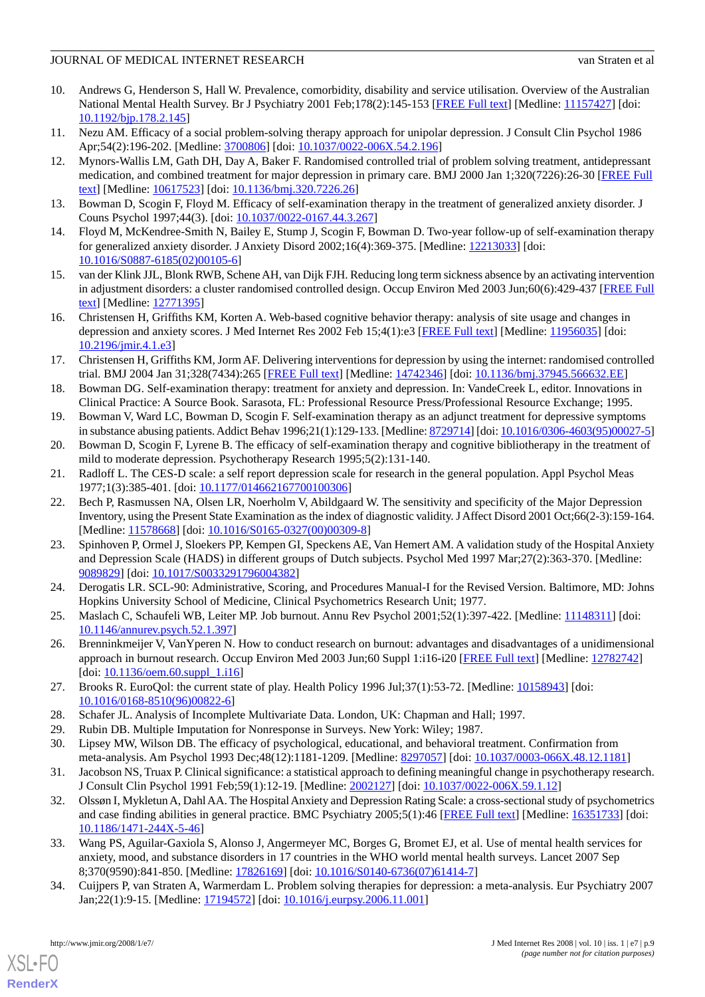- <span id="page-8-0"></span>10. Andrews G, Henderson S, Hall W. Prevalence, comorbidity, disability and service utilisation. Overview of the Australian National Mental Health Survey. Br J Psychiatry 2001 Feb;178(2):145-153 [\[FREE Full text\]](http://bjp.rcpsych.org/cgi/pmidlookup?view=long&pmid=11157427) [Medline: [11157427](http://www.ncbi.nlm.nih.gov/entrez/query.fcgi?cmd=Retrieve&db=PubMed&list_uids=11157427&dopt=Abstract)] [doi: [10.1192/bjp.178.2.145](http://dx.doi.org/10.1192/bjp.178.2.145)]
- <span id="page-8-2"></span><span id="page-8-1"></span>11. Nezu AM. Efficacy of a social problem-solving therapy approach for unipolar depression. J Consult Clin Psychol 1986 Apr;54(2):196-202. [Medline: [3700806\]](http://www.ncbi.nlm.nih.gov/entrez/query.fcgi?cmd=Retrieve&db=PubMed&list_uids=3700806&dopt=Abstract) [doi: [10.1037/0022-006X.54.2.196](http://dx.doi.org/10.1037/0022-006X.54.2.196)]
- 12. Mynors-Wallis LM, Gath DH, Day A, Baker F. Randomised controlled trial of problem solving treatment, antidepressant medication, and combined treatment for major depression in primary care. BMJ 2000 Jan 1;320(7226):26-30 [\[FREE Full](http://bmj.com/cgi/pmidlookup?view=long&pmid=10617523) [text](http://bmj.com/cgi/pmidlookup?view=long&pmid=10617523)] [Medline: [10617523](http://www.ncbi.nlm.nih.gov/entrez/query.fcgi?cmd=Retrieve&db=PubMed&list_uids=10617523&dopt=Abstract)] [doi: [10.1136/bmj.320.7226.26\]](http://dx.doi.org/10.1136/bmj.320.7226.26)
- <span id="page-8-9"></span><span id="page-8-3"></span>13. Bowman D, Scogin F, Floyd M. Efficacy of self-examination therapy in the treatment of generalized anxiety disorder. J Couns Psychol 1997;44(3). [doi: [10.1037/0022-0167.44.3.267\]](http://dx.doi.org/10.1037/0022-0167.44.3.267)
- <span id="page-8-4"></span>14. Floyd M, McKendree-Smith N, Bailey E, Stump J, Scogin F, Bowman D. Two-year follow-up of self-examination therapy for generalized anxiety disorder. J Anxiety Disord 2002;16(4):369-375. [Medline: [12213033](http://www.ncbi.nlm.nih.gov/entrez/query.fcgi?cmd=Retrieve&db=PubMed&list_uids=12213033&dopt=Abstract)] [doi: [10.1016/S0887-6185\(02\)00105-6\]](http://dx.doi.org/10.1016/S0887-6185(02)00105-6)
- <span id="page-8-5"></span>15. van der Klink JJL, Blonk RWB, Schene AH, van Dijk FJH. Reducing long term sickness absence by an activating intervention in adjustment disorders: a cluster randomised controlled design. Occup Environ Med 2003 Jun;60(6):429-437 [[FREE Full](http://oem.bmjjournals.com/cgi/pmidlookup?view=long&pmid=12771395) [text](http://oem.bmjjournals.com/cgi/pmidlookup?view=long&pmid=12771395)] [Medline: [12771395](http://www.ncbi.nlm.nih.gov/entrez/query.fcgi?cmd=Retrieve&db=PubMed&list_uids=12771395&dopt=Abstract)]
- <span id="page-8-6"></span>16. Christensen H, Griffiths KM, Korten A. Web-based cognitive behavior therapy: analysis of site usage and changes in depression and anxiety scores. J Med Internet Res 2002 Feb 15;4(1):e3 [\[FREE Full text\]](http://www.jmir.org/2002/1/e3/) [Medline: [11956035\]](http://www.ncbi.nlm.nih.gov/entrez/query.fcgi?cmd=Retrieve&db=PubMed&list_uids=11956035&dopt=Abstract) [doi: [10.2196/jmir.4.1.e3\]](http://dx.doi.org/10.2196/jmir.4.1.e3)
- <span id="page-8-7"></span>17. Christensen H, Griffiths KM, Jorm AF. Delivering interventions for depression by using the internet: randomised controlled trial. BMJ 2004 Jan 31;328(7434):265 [[FREE Full text](http://bmj.com/cgi/pmidlookup?view=long&pmid=14742346)] [Medline: [14742346](http://www.ncbi.nlm.nih.gov/entrez/query.fcgi?cmd=Retrieve&db=PubMed&list_uids=14742346&dopt=Abstract)] [doi: [10.1136/bmj.37945.566632.EE\]](http://dx.doi.org/10.1136/bmj.37945.566632.EE)
- <span id="page-8-10"></span><span id="page-8-8"></span>18. Bowman DG. Self-examination therapy: treatment for anxiety and depression. In: VandeCreek L, editor. Innovations in Clinical Practice: A Source Book. Sarasota, FL: Professional Resource Press/Professional Resource Exchange; 1995.
- <span id="page-8-11"></span>19. Bowman V, Ward LC, Bowman D, Scogin F. Self-examination therapy as an adjunct treatment for depressive symptoms in substance abusing patients. Addict Behav 1996;21(1):129-133. [Medline: [8729714](http://www.ncbi.nlm.nih.gov/entrez/query.fcgi?cmd=Retrieve&db=PubMed&list_uids=8729714&dopt=Abstract)] [doi: [10.1016/0306-4603\(95\)00027-5\]](http://dx.doi.org/10.1016/0306-4603(95)00027-5)
- <span id="page-8-12"></span>20. Bowman D, Scogin F, Lyrene B. The efficacy of self-examination therapy and cognitive bibliotherapy in the treatment of mild to moderate depression. Psychotherapy Research 1995;5(2):131-140.
- 21. Radloff L. The CES-D scale: a self report depression scale for research in the general population. Appl Psychol Meas 1977;1(3):385-401. [doi: [10.1177/014662167700100306\]](http://dx.doi.org/10.1177/014662167700100306)
- <span id="page-8-13"></span>22. Bech P, Rasmussen NA, Olsen LR, Noerholm V, Abildgaard W. The sensitivity and specificity of the Major Depression Inventory, using the Present State Examination as the index of diagnostic validity. J Affect Disord 2001 Oct;66(2-3):159-164. [Medline: [11578668](http://www.ncbi.nlm.nih.gov/entrez/query.fcgi?cmd=Retrieve&db=PubMed&list_uids=11578668&dopt=Abstract)] [doi: [10.1016/S0165-0327\(00\)00309-8\]](http://dx.doi.org/10.1016/S0165-0327(00)00309-8)
- <span id="page-8-15"></span><span id="page-8-14"></span>23. Spinhoven P, Ormel J, Sloekers PP, Kempen GI, Speckens AE, Van Hemert AM. A validation study of the Hospital Anxiety and Depression Scale (HADS) in different groups of Dutch subjects. Psychol Med 1997 Mar;27(2):363-370. [Medline: [9089829\]](http://www.ncbi.nlm.nih.gov/entrez/query.fcgi?cmd=Retrieve&db=PubMed&list_uids=9089829&dopt=Abstract) [doi: [10.1017/S0033291796004382\]](http://dx.doi.org/10.1017/S0033291796004382)
- <span id="page-8-16"></span>24. Derogatis LR. SCL-90: Administrative, Scoring, and Procedures Manual-I for the Revised Version. Baltimore, MD: Johns Hopkins University School of Medicine, Clinical Psychometrics Research Unit; 1977.
- <span id="page-8-17"></span>25. Maslach C, Schaufeli WB, Leiter MP. Job burnout. Annu Rev Psychol 2001;52(1):397-422. [Medline: [11148311\]](http://www.ncbi.nlm.nih.gov/entrez/query.fcgi?cmd=Retrieve&db=PubMed&list_uids=11148311&dopt=Abstract) [doi: [10.1146/annurev.psych.52.1.397](http://dx.doi.org/10.1146/annurev.psych.52.1.397)]
- <span id="page-8-19"></span><span id="page-8-18"></span>26. Brenninkmeijer V, VanYperen N. How to conduct research on burnout: advantages and disadvantages of a unidimensional approach in burnout research. Occup Environ Med 2003 Jun;60 Suppl 1:i16-i20 [\[FREE Full text\]](http://oem.bmjjournals.com/cgi/pmidlookup?view=long&pmid=12782742) [Medline: [12782742\]](http://www.ncbi.nlm.nih.gov/entrez/query.fcgi?cmd=Retrieve&db=PubMed&list_uids=12782742&dopt=Abstract)  $[doi: 10.1136/ocm.60.1991 1.116]$
- <span id="page-8-21"></span><span id="page-8-20"></span>27. Brooks R. EuroQol: the current state of play. Health Policy 1996 Jul;37(1):53-72. [Medline: [10158943\]](http://www.ncbi.nlm.nih.gov/entrez/query.fcgi?cmd=Retrieve&db=PubMed&list_uids=10158943&dopt=Abstract) [doi: [10.1016/0168-8510\(96\)00822-6](http://dx.doi.org/10.1016/0168-8510(96)00822-6)]
- <span id="page-8-22"></span>28. Schafer JL. Analysis of Incomplete Multivariate Data. London, UK: Chapman and Hall; 1997.
- 29. Rubin DB. Multiple Imputation for Nonresponse in Surveys. New York: Wiley; 1987.
- 30. Lipsey MW, Wilson DB. The efficacy of psychological, educational, and behavioral treatment. Confirmation from meta-analysis. Am Psychol 1993 Dec;48(12):1181-1209. [Medline: [8297057\]](http://www.ncbi.nlm.nih.gov/entrez/query.fcgi?cmd=Retrieve&db=PubMed&list_uids=8297057&dopt=Abstract) [doi: [10.1037/0003-066X.48.12.1181](http://dx.doi.org/10.1037/0003-066X.48.12.1181)]
- <span id="page-8-23"></span>31. Jacobson NS, Truax P. Clinical significance: a statistical approach to defining meaningful change in psychotherapy research. J Consult Clin Psychol 1991 Feb;59(1):12-19. [Medline: [2002127](http://www.ncbi.nlm.nih.gov/entrez/query.fcgi?cmd=Retrieve&db=PubMed&list_uids=2002127&dopt=Abstract)] [doi: [10.1037/0022-006X.59.1.12\]](http://dx.doi.org/10.1037/0022-006X.59.1.12)
- <span id="page-8-24"></span>32. Olssøn I, Mykletun A, Dahl AA. The Hospital Anxiety and Depression Rating Scale: a cross-sectional study of psychometrics and case finding abilities in general practice. BMC Psychiatry 2005;5(1):46 [[FREE Full text](http://www.biomedcentral.com/1471-244X/5/46)] [Medline: [16351733](http://www.ncbi.nlm.nih.gov/entrez/query.fcgi?cmd=Retrieve&db=PubMed&list_uids=16351733&dopt=Abstract)] [doi: [10.1186/1471-244X-5-46](http://dx.doi.org/10.1186/1471-244X-5-46)]
- 33. Wang PS, Aguilar-Gaxiola S, Alonso J, Angermeyer MC, Borges G, Bromet EJ, et al. Use of mental health services for anxiety, mood, and substance disorders in 17 countries in the WHO world mental health surveys. Lancet 2007 Sep 8;370(9590):841-850. [Medline: [17826169](http://www.ncbi.nlm.nih.gov/entrez/query.fcgi?cmd=Retrieve&db=PubMed&list_uids=17826169&dopt=Abstract)] [doi: [10.1016/S0140-6736\(07\)61414-7](http://dx.doi.org/10.1016/S0140-6736(07)61414-7)]
- 34. Cuijpers P, van Straten A, Warmerdam L. Problem solving therapies for depression: a meta-analysis. Eur Psychiatry 2007 Jan;22(1):9-15. [Medline: [17194572](http://www.ncbi.nlm.nih.gov/entrez/query.fcgi?cmd=Retrieve&db=PubMed&list_uids=17194572&dopt=Abstract)] [doi: [10.1016/j.eurpsy.2006.11.001\]](http://dx.doi.org/10.1016/j.eurpsy.2006.11.001)

[XSL](http://www.w3.org/Style/XSL)•FO **[RenderX](http://www.renderx.com/)**